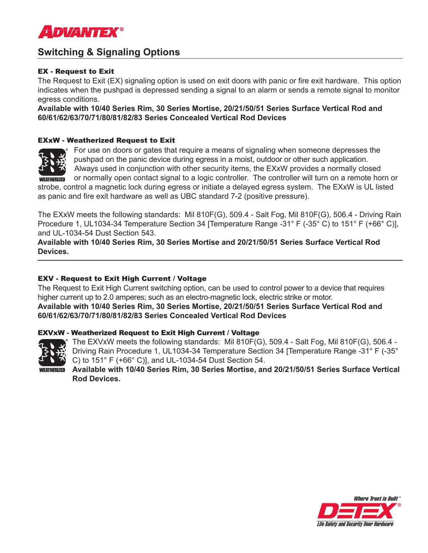

# **Switching & Signaling Options**

## EX - Request to Exit

The Request to Exit (EX) signaling option is used on exit doors with panic or fire exit hardware. This option indicates when the pushpad is depressed sending a signal to an alarm or sends a remote signal to monitor egress conditions.

**Available with 10/40 Series Rim, 30 Series Mortise, 20/21/50/51 Series Surface Vertical Rod and 60/61/62/63/70/71/80/81/82/83 Series Concealed Vertical Rod Devices**

### EXxW - Weatherized Request to Exit



 For use on doors or gates that require a means of signaling when someone depresses the pushpad on the panic device during egress in a moist, outdoor or other such application. Always used in conjunction with other security items, the EXxW provides a normally closed WEATHERIZED or normally open contact signal to a logic controller. The controller will turn on a remote horn or strobe, control a magnetic lock during egress or initiate a delayed egress system. The EXxW is UL listed

as panic and fire exit hardware as well as UBC standard 7-2 (positive pressure).

The EXxW meets the following standards: Mil 810F(G), 509.4 - Salt Fog, Mil 810F(G), 506.4 - Driving Rain Procedure 1, UL1034-34 Temperature Section 34 [Temperature Range -31° F (-35° C) to 151° F (+66° C)], and UL-1034-54 Dust Section 543.

**Available with 10/40 Series Rim, 30 Series Mortise and 20/21/50/51 Series Surface Vertical Rod Devices.**

## EXV - Request to Exit High Current / Voltage

The Request to Exit High Current switching option, can be used to control power to a device that requires higher current up to 2.0 amperes; such as an electro-magnetic lock, electric strike or motor. **Available with 10/40 Series Rim, 30 Series Mortise, 20/21/50/51 Series Surface Vertical Rod and 60/61/62/63/70/71/80/81/82/83 Series Concealed Vertical Rod Devices**

#### EXVxW - Weatherized Request to Exit High Current / Voltage



The EXVxW meets the following standards: Mil 810F(G), 509.4 - Salt Fog, Mil 810F(G), 506.4 - Driving Rain Procedure 1, UL1034-34 Temperature Section 34 [Temperature Range -31° F (-35° C) to 151° F (+66° C)], and UL-1034-54 Dust Section 54.

**Available with 10/40 Series Rim, 30 Series Mortise, and 20/21/50/51 Series Surface Vertical Rod Devices.**